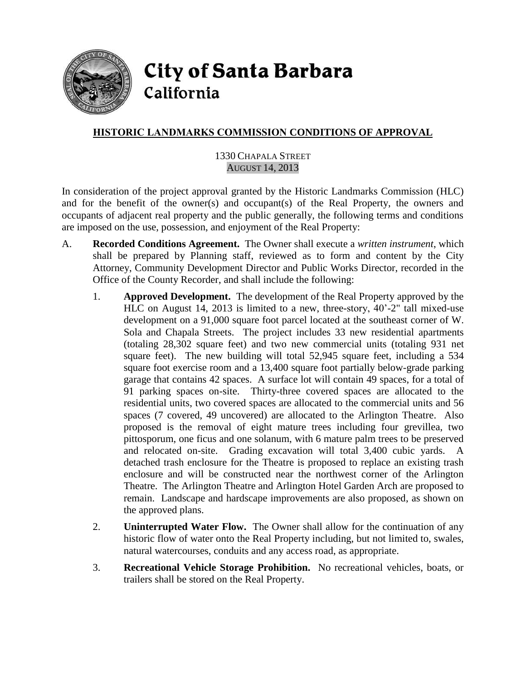

**City of Santa Barbara** California

# **HISTORIC LANDMARKS COMMISSION CONDITIONS OF APPROVAL**

### 1330 CHAPALA STREET AUGUST 14, 2013

In consideration of the project approval granted by the Historic Landmarks Commission (HLC) and for the benefit of the owner(s) and occupant(s) of the Real Property, the owners and occupants of adjacent real property and the public generally, the following terms and conditions are imposed on the use, possession, and enjoyment of the Real Property:

- A. **Recorded Conditions Agreement.** The Owner shall execute a *written instrument*, which shall be prepared by Planning staff, reviewed as to form and content by the City Attorney, Community Development Director and Public Works Director, recorded in the Office of the County Recorder, and shall include the following:
	- 1. **Approved Development.** The development of the Real Property approved by the HLC on August 14, 2013 is limited to a new, three-story, 40'-2" tall mixed-use development on a 91,000 square foot parcel located at the southeast corner of W. Sola and Chapala Streets. The project includes 33 new residential apartments (totaling 28,302 square feet) and two new commercial units (totaling 931 net square feet). The new building will total 52,945 square feet, including a 534 square foot exercise room and a 13,400 square foot partially below-grade parking garage that contains 42 spaces. A surface lot will contain 49 spaces, for a total of 91 parking spaces on-site. Thirty-three covered spaces are allocated to the residential units, two covered spaces are allocated to the commercial units and 56 spaces (7 covered, 49 uncovered) are allocated to the Arlington Theatre. Also proposed is the removal of eight mature trees including four grevillea, two pittosporum, one ficus and one solanum, with 6 mature palm trees to be preserved and relocated on-site. Grading excavation will total 3,400 cubic yards. A detached trash enclosure for the Theatre is proposed to replace an existing trash enclosure and will be constructed near the northwest corner of the Arlington Theatre. The Arlington Theatre and Arlington Hotel Garden Arch are proposed to remain. Landscape and hardscape improvements are also proposed, as shown on the approved plans.
	- 2. **Uninterrupted Water Flow.** The Owner shall allow for the continuation of any historic flow of water onto the Real Property including, but not limited to, swales, natural watercourses, conduits and any access road, as appropriate.
	- 3. **Recreational Vehicle Storage Prohibition.** No recreational vehicles, boats, or trailers shall be stored on the Real Property.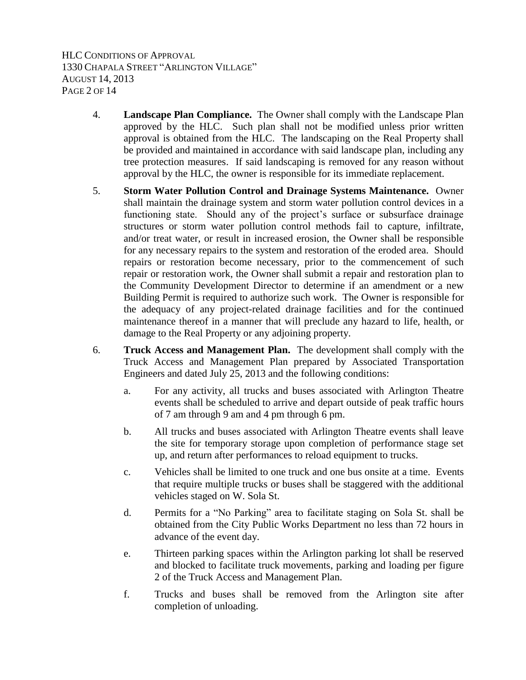HLC CONDITIONS OF APPROVAL 1330 CHAPALA STREET "ARLINGTON VILLAGE" AUGUST 14, 2013 PAGE 2 OF 14

- 4. **Landscape Plan Compliance.** The Owner shall comply with the Landscape Plan approved by the HLC. Such plan shall not be modified unless prior written approval is obtained from the HLC. The landscaping on the Real Property shall be provided and maintained in accordance with said landscape plan, including any tree protection measures. If said landscaping is removed for any reason without approval by the HLC, the owner is responsible for its immediate replacement.
- 5. **Storm Water Pollution Control and Drainage Systems Maintenance.** Owner shall maintain the drainage system and storm water pollution control devices in a functioning state. Should any of the project's surface or subsurface drainage structures or storm water pollution control methods fail to capture, infiltrate, and/or treat water, or result in increased erosion, the Owner shall be responsible for any necessary repairs to the system and restoration of the eroded area. Should repairs or restoration become necessary, prior to the commencement of such repair or restoration work, the Owner shall submit a repair and restoration plan to the Community Development Director to determine if an amendment or a new Building Permit is required to authorize such work. The Owner is responsible for the adequacy of any project-related drainage facilities and for the continued maintenance thereof in a manner that will preclude any hazard to life, health, or damage to the Real Property or any adjoining property.
- 6. **Truck Access and Management Plan.** The development shall comply with the Truck Access and Management Plan prepared by Associated Transportation Engineers and dated July 25, 2013 and the following conditions:
	- a. For any activity, all trucks and buses associated with Arlington Theatre events shall be scheduled to arrive and depart outside of peak traffic hours of 7 am through 9 am and 4 pm through 6 pm.
	- b. All trucks and buses associated with Arlington Theatre events shall leave the site for temporary storage upon completion of performance stage set up, and return after performances to reload equipment to trucks.
	- c. Vehicles shall be limited to one truck and one bus onsite at a time. Events that require multiple trucks or buses shall be staggered with the additional vehicles staged on W. Sola St.
	- d. Permits for a "No Parking" area to facilitate staging on Sola St. shall be obtained from the City Public Works Department no less than 72 hours in advance of the event day.
	- e. Thirteen parking spaces within the Arlington parking lot shall be reserved and blocked to facilitate truck movements, parking and loading per figure 2 of the Truck Access and Management Plan.
	- f. Trucks and buses shall be removed from the Arlington site after completion of unloading.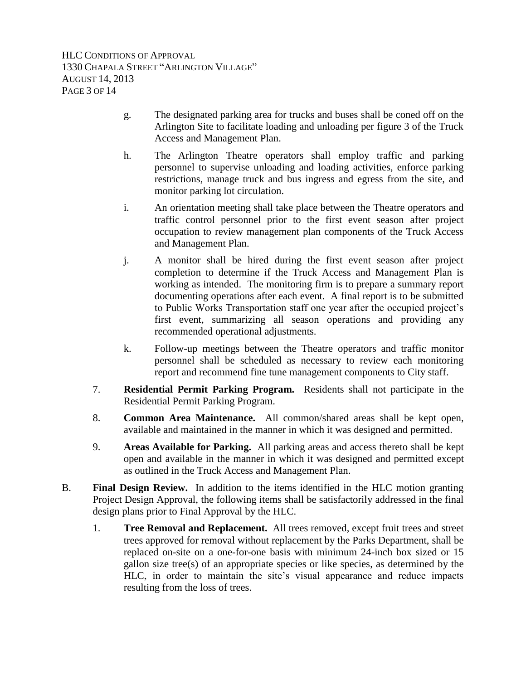- g. The designated parking area for trucks and buses shall be coned off on the Arlington Site to facilitate loading and unloading per figure 3 of the Truck Access and Management Plan.
- h. The Arlington Theatre operators shall employ traffic and parking personnel to supervise unloading and loading activities, enforce parking restrictions, manage truck and bus ingress and egress from the site, and monitor parking lot circulation.
- i. An orientation meeting shall take place between the Theatre operators and traffic control personnel prior to the first event season after project occupation to review management plan components of the Truck Access and Management Plan.
- j. A monitor shall be hired during the first event season after project completion to determine if the Truck Access and Management Plan is working as intended. The monitoring firm is to prepare a summary report documenting operations after each event. A final report is to be submitted to Public Works Transportation staff one year after the occupied project's first event, summarizing all season operations and providing any recommended operational adjustments.
- k. Follow-up meetings between the Theatre operators and traffic monitor personnel shall be scheduled as necessary to review each monitoring report and recommend fine tune management components to City staff.
- 7. **Residential Permit Parking Program.** Residents shall not participate in the Residential Permit Parking Program.
- 8. **Common Area Maintenance.** All common/shared areas shall be kept open, available and maintained in the manner in which it was designed and permitted.
- 9. **Areas Available for Parking.** All parking areas and access thereto shall be kept open and available in the manner in which it was designed and permitted except as outlined in the Truck Access and Management Plan.
- B. **Final Design Review.** In addition to the items identified in the HLC motion granting Project Design Approval, the following items shall be satisfactorily addressed in the final design plans prior to Final Approval by the HLC.
	- 1. **Tree Removal and Replacement.** All trees removed, except fruit trees and street trees approved for removal without replacement by the Parks Department, shall be replaced on-site on a one-for-one basis with minimum 24-inch box sized or 15 gallon size tree(s) of an appropriate species or like species, as determined by the HLC, in order to maintain the site's visual appearance and reduce impacts resulting from the loss of trees.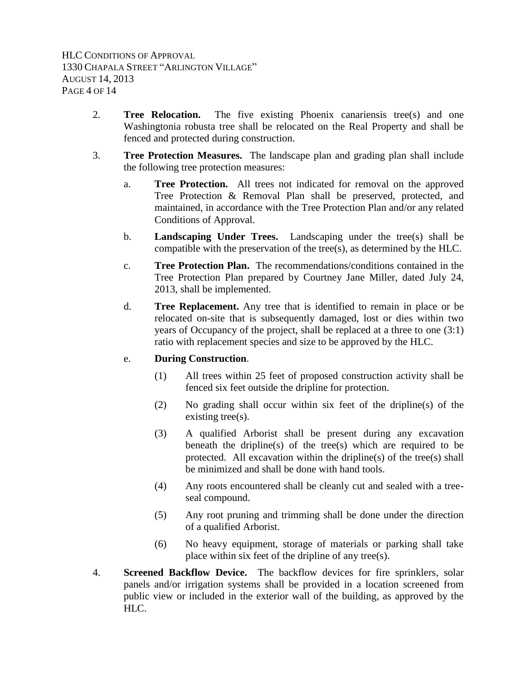- 2. **Tree Relocation.** The five existing Phoenix canariensis tree(s) and one Washingtonia robusta tree shall be relocated on the Real Property and shall be fenced and protected during construction.
- 3. **Tree Protection Measures.** The landscape plan and grading plan shall include the following tree protection measures:
	- a. **Tree Protection.** All trees not indicated for removal on the approved Tree Protection & Removal Plan shall be preserved, protected, and maintained, in accordance with the Tree Protection Plan and/or any related Conditions of Approval.
	- b. **Landscaping Under Trees.** Landscaping under the tree(s) shall be compatible with the preservation of the tree(s), as determined by the HLC.
	- c. **Tree Protection Plan.** The recommendations/conditions contained in the Tree Protection Plan prepared by Courtney Jane Miller, dated July 24, 2013, shall be implemented.
	- d. **Tree Replacement.** Any tree that is identified to remain in place or be relocated on-site that is subsequently damaged, lost or dies within two years of Occupancy of the project, shall be replaced at a three to one (3:1) ratio with replacement species and size to be approved by the HLC.

# e. **During Construction**.

- (1) All trees within 25 feet of proposed construction activity shall be fenced six feet outside the dripline for protection.
- (2) No grading shall occur within six feet of the dripline(s) of the existing tree(s).
- (3) A qualified Arborist shall be present during any excavation beneath the dripline(s) of the tree(s) which are required to be protected. All excavation within the dripline(s) of the tree(s) shall be minimized and shall be done with hand tools.
- (4) Any roots encountered shall be cleanly cut and sealed with a treeseal compound.
- (5) Any root pruning and trimming shall be done under the direction of a qualified Arborist.
- (6) No heavy equipment, storage of materials or parking shall take place within six feet of the dripline of any tree(s).
- 4. **Screened Backflow Device.** The backflow devices for fire sprinklers, solar panels and/or irrigation systems shall be provided in a location screened from public view or included in the exterior wall of the building, as approved by the HLC.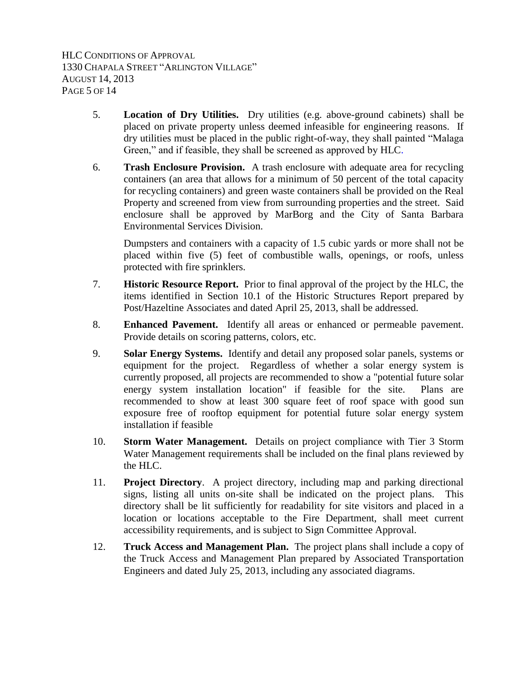HLC CONDITIONS OF APPROVAL 1330 CHAPALA STREET "ARLINGTON VILLAGE" AUGUST 14, 2013 PAGE 5 OF 14

- 5. **Location of Dry Utilities.** Dry utilities (e.g. above-ground cabinets) shall be placed on private property unless deemed infeasible for engineering reasons. If dry utilities must be placed in the public right-of-way, they shall painted "Malaga Green," and if feasible, they shall be screened as approved by HLC.
- 6. **Trash Enclosure Provision.** A trash enclosure with adequate area for recycling containers (an area that allows for a minimum of 50 percent of the total capacity for recycling containers) and green waste containers shall be provided on the Real Property and screened from view from surrounding properties and the street. Said enclosure shall be approved by MarBorg and the City of Santa Barbara Environmental Services Division.

Dumpsters and containers with a capacity of 1.5 cubic yards or more shall not be placed within five (5) feet of combustible walls, openings, or roofs, unless protected with fire sprinklers.

- 7. **Historic Resource Report.** Prior to final approval of the project by the HLC, the items identified in Section 10.1 of the Historic Structures Report prepared by Post/Hazeltine Associates and dated April 25, 2013, shall be addressed.
- 8. **Enhanced Pavement.** Identify all areas or enhanced or permeable pavement. Provide details on scoring patterns, colors, etc.
- 9. **Solar Energy Systems.** Identify and detail any proposed solar panels, systems or equipment for the project. Regardless of whether a solar energy system is currently proposed, all projects are recommended to show a "potential future solar energy system installation location" if feasible for the site. Plans are recommended to show at least 300 square feet of roof space with good sun exposure free of rooftop equipment for potential future solar energy system installation if feasible
- 10. **Storm Water Management.** Details on project compliance with Tier 3 Storm Water Management requirements shall be included on the final plans reviewed by the HLC.
- 11. **Project Directory**. A project directory, including map and parking directional signs, listing all units on-site shall be indicated on the project plans. This directory shall be lit sufficiently for readability for site visitors and placed in a location or locations acceptable to the Fire Department, shall meet current accessibility requirements, and is subject to Sign Committee Approval.
- 12. **Truck Access and Management Plan.** The project plans shall include a copy of the Truck Access and Management Plan prepared by Associated Transportation Engineers and dated July 25, 2013, including any associated diagrams.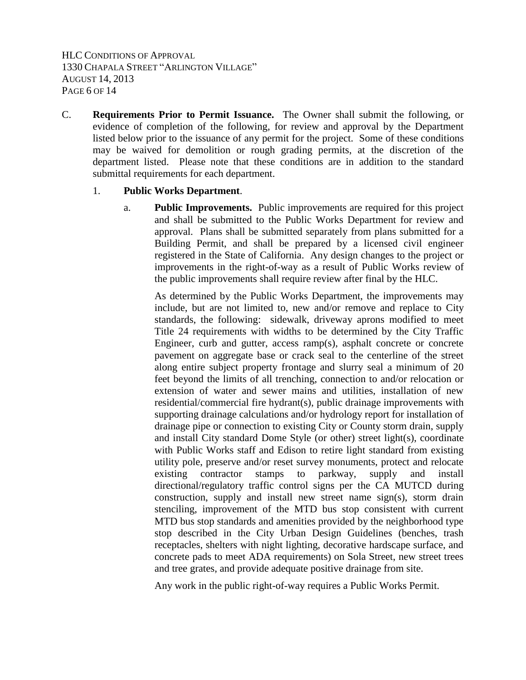HLC CONDITIONS OF APPROVAL 1330 CHAPALA STREET "ARLINGTON VILLAGE" AUGUST 14, 2013 PAGE 6 OF 14

C. **Requirements Prior to Permit Issuance.** The Owner shall submit the following, or evidence of completion of the following, for review and approval by the Department listed below prior to the issuance of any permit for the project. Some of these conditions may be waived for demolition or rough grading permits, at the discretion of the department listed. Please note that these conditions are in addition to the standard submittal requirements for each department.

#### 1. **Public Works Department**.

a. **Public Improvements.** Public improvements are required for this project and shall be submitted to the Public Works Department for review and approval. Plans shall be submitted separately from plans submitted for a Building Permit, and shall be prepared by a licensed civil engineer registered in the State of California. Any design changes to the project or improvements in the right-of-way as a result of Public Works review of the public improvements shall require review after final by the HLC.

As determined by the Public Works Department, the improvements may include, but are not limited to, new and/or remove and replace to City standards, the following: sidewalk, driveway aprons modified to meet Title 24 requirements with widths to be determined by the City Traffic Engineer, curb and gutter, access ramp(s), asphalt concrete or concrete pavement on aggregate base or crack seal to the centerline of the street along entire subject property frontage and slurry seal a minimum of 20 feet beyond the limits of all trenching, connection to and/or relocation or extension of water and sewer mains and utilities, installation of new residential/commercial fire hydrant(s), public drainage improvements with supporting drainage calculations and/or hydrology report for installation of drainage pipe or connection to existing City or County storm drain, supply and install City standard Dome Style (or other) street light(s), coordinate with Public Works staff and Edison to retire light standard from existing utility pole, preserve and/or reset survey monuments, protect and relocate existing contractor stamps to parkway, supply and install directional/regulatory traffic control signs per the CA MUTCD during construction, supply and install new street name sign(s), storm drain stenciling, improvement of the MTD bus stop consistent with current MTD bus stop standards and amenities provided by the neighborhood type stop described in the City Urban Design Guidelines (benches, trash receptacles, shelters with night lighting, decorative hardscape surface, and concrete pads to meet ADA requirements) on Sola Street, new street trees and tree grates, and provide adequate positive drainage from site.

Any work in the public right-of-way requires a Public Works Permit.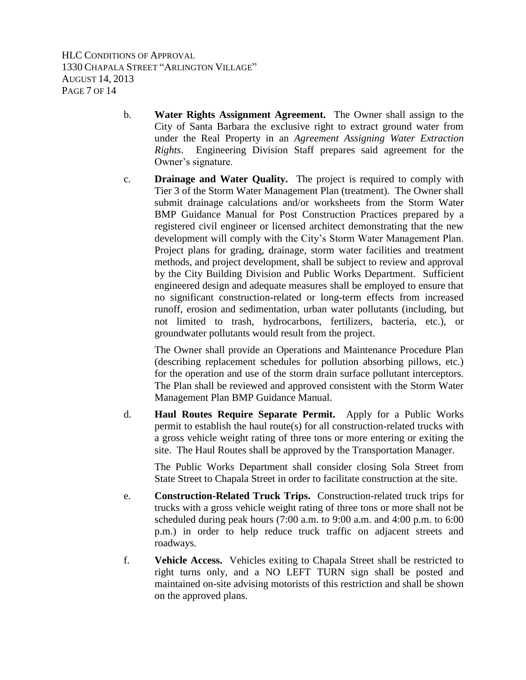HLC CONDITIONS OF APPROVAL 1330 CHAPALA STREET "ARLINGTON VILLAGE" AUGUST 14, 2013 PAGE 7 OF 14

- b. **Water Rights Assignment Agreement.** The Owner shall assign to the City of Santa Barbara the exclusive right to extract ground water from under the Real Property in an *Agreement Assigning Water Extraction Rights*. Engineering Division Staff prepares said agreement for the Owner's signature.
- c. **Drainage and Water Quality.** The project is required to comply with Tier 3 of the Storm Water Management Plan (treatment). The Owner shall submit drainage calculations and/or worksheets from the Storm Water BMP Guidance Manual for Post Construction Practices prepared by a registered civil engineer or licensed architect demonstrating that the new development will comply with the City's Storm Water Management Plan. Project plans for grading, drainage, storm water facilities and treatment methods, and project development, shall be subject to review and approval by the City Building Division and Public Works Department. Sufficient engineered design and adequate measures shall be employed to ensure that no significant construction-related or long-term effects from increased runoff, erosion and sedimentation, urban water pollutants (including, but not limited to trash, hydrocarbons, fertilizers, bacteria, etc.), or groundwater pollutants would result from the project.

The Owner shall provide an Operations and Maintenance Procedure Plan (describing replacement schedules for pollution absorbing pillows, etc.) for the operation and use of the storm drain surface pollutant interceptors. The Plan shall be reviewed and approved consistent with the Storm Water Management Plan BMP Guidance Manual.

d. **Haul Routes Require Separate Permit.** Apply for a Public Works permit to establish the haul route(s) for all construction-related trucks with a gross vehicle weight rating of three tons or more entering or exiting the site. The Haul Routes shall be approved by the Transportation Manager.

The Public Works Department shall consider closing Sola Street from State Street to Chapala Street in order to facilitate construction at the site.

- e. **Construction-Related Truck Trips.** Construction-related truck trips for trucks with a gross vehicle weight rating of three tons or more shall not be scheduled during peak hours (7:00 a.m. to 9:00 a.m. and 4:00 p.m. to 6:00 p.m.) in order to help reduce truck traffic on adjacent streets and roadways.
- f. **Vehicle Access.** Vehicles exiting to Chapala Street shall be restricted to right turns only, and a NO LEFT TURN sign shall be posted and maintained on-site advising motorists of this restriction and shall be shown on the approved plans.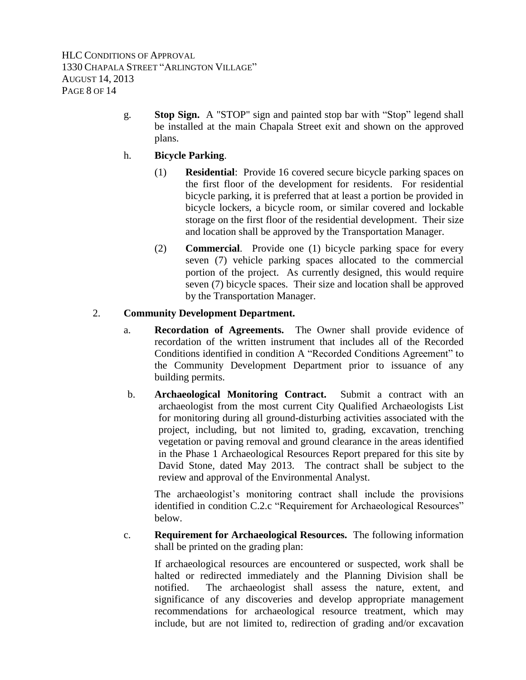g. **Stop Sign.** A "STOP" sign and painted stop bar with "Stop" legend shall be installed at the main Chapala Street exit and shown on the approved plans.

# h. **Bicycle Parking**.

- (1) **Residential**: Provide 16 covered secure bicycle parking spaces on the first floor of the development for residents. For residential bicycle parking, it is preferred that at least a portion be provided in bicycle lockers, a bicycle room, or similar covered and lockable storage on the first floor of the residential development. Their size and location shall be approved by the Transportation Manager.
- (2) **Commercial**. Provide one (1) bicycle parking space for every seven (7) vehicle parking spaces allocated to the commercial portion of the project. As currently designed, this would require seven (7) bicycle spaces. Their size and location shall be approved by the Transportation Manager.

# 2. **Community Development Department.**

- a. **Recordation of Agreements.** The Owner shall provide evidence of recordation of the written instrument that includes all of the Recorded Conditions identified in condition A "Recorded Conditions Agreement" to the Community Development Department prior to issuance of any building permits.
- b. **Archaeological Monitoring Contract.** Submit a contract with an archaeologist from the most current City Qualified Archaeologists List for monitoring during all ground-disturbing activities associated with the project, including, but not limited to, grading, excavation, trenching vegetation or paving removal and ground clearance in the areas identified in the Phase 1 Archaeological Resources Report prepared for this site by David Stone, dated May 2013. The contract shall be subject to the review and approval of the Environmental Analyst.

The archaeologist's monitoring contract shall include the provisions identified in condition C.2.c "Requirement for Archaeological Resources" below.

c. **Requirement for Archaeological Resources.** The following information shall be printed on the grading plan:

If archaeological resources are encountered or suspected, work shall be halted or redirected immediately and the Planning Division shall be notified. The archaeologist shall assess the nature, extent, and significance of any discoveries and develop appropriate management recommendations for archaeological resource treatment, which may include, but are not limited to, redirection of grading and/or excavation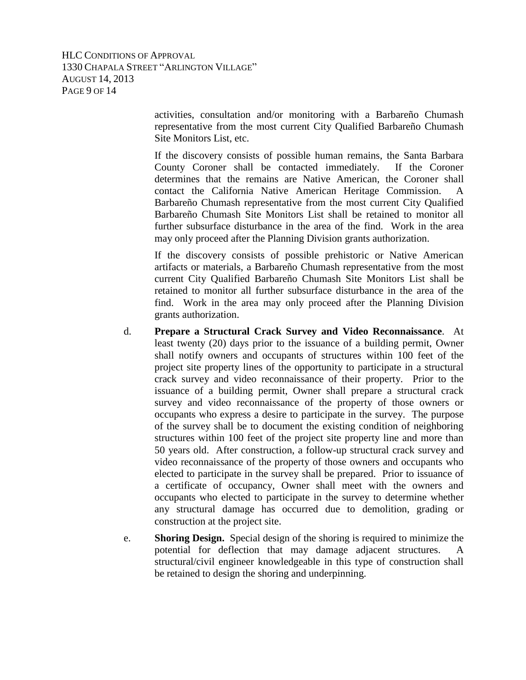HLC CONDITIONS OF APPROVAL 1330 CHAPALA STREET "ARLINGTON VILLAGE" AUGUST 14, 2013 PAGE 9 OF 14

> activities, consultation and/or monitoring with a Barbareño Chumash representative from the most current City Qualified Barbareño Chumash Site Monitors List, etc.

> If the discovery consists of possible human remains, the Santa Barbara County Coroner shall be contacted immediately. If the Coroner determines that the remains are Native American, the Coroner shall contact the California Native American Heritage Commission. A Barbareño Chumash representative from the most current City Qualified Barbareño Chumash Site Monitors List shall be retained to monitor all further subsurface disturbance in the area of the find. Work in the area may only proceed after the Planning Division grants authorization.

> If the discovery consists of possible prehistoric or Native American artifacts or materials, a Barbareño Chumash representative from the most current City Qualified Barbareño Chumash Site Monitors List shall be retained to monitor all further subsurface disturbance in the area of the find. Work in the area may only proceed after the Planning Division grants authorization.

- d. **Prepare a Structural Crack Survey and Video Reconnaissance**. At least twenty (20) days prior to the issuance of a building permit, Owner shall notify owners and occupants of structures within 100 feet of the project site property lines of the opportunity to participate in a structural crack survey and video reconnaissance of their property. Prior to the issuance of a building permit, Owner shall prepare a structural crack survey and video reconnaissance of the property of those owners or occupants who express a desire to participate in the survey. The purpose of the survey shall be to document the existing condition of neighboring structures within 100 feet of the project site property line and more than 50 years old. After construction, a follow-up structural crack survey and video reconnaissance of the property of those owners and occupants who elected to participate in the survey shall be prepared. Prior to issuance of a certificate of occupancy, Owner shall meet with the owners and occupants who elected to participate in the survey to determine whether any structural damage has occurred due to demolition, grading or construction at the project site.
- e. **Shoring Design.** Special design of the shoring is required to minimize the potential for deflection that may damage adjacent structures. A structural/civil engineer knowledgeable in this type of construction shall be retained to design the shoring and underpinning.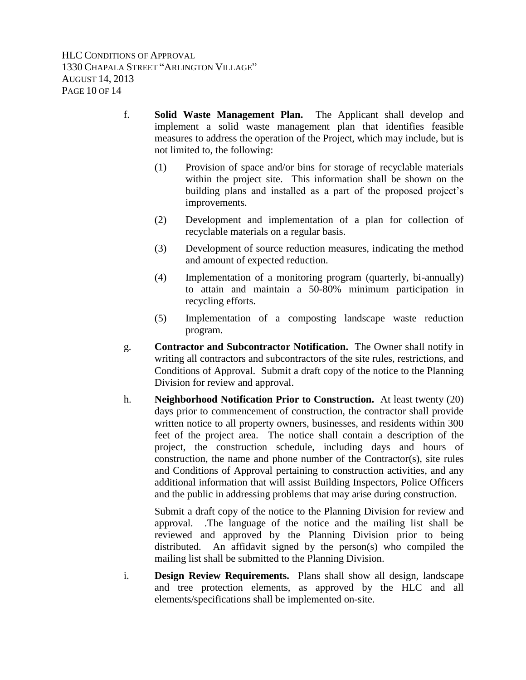- f. **Solid Waste Management Plan.** The Applicant shall develop and implement a solid waste management plan that identifies feasible measures to address the operation of the Project, which may include, but is not limited to, the following:
	- (1) Provision of space and/or bins for storage of recyclable materials within the project site. This information shall be shown on the building plans and installed as a part of the proposed project's improvements.
	- (2) Development and implementation of a plan for collection of recyclable materials on a regular basis.
	- (3) Development of source reduction measures, indicating the method and amount of expected reduction.
	- (4) Implementation of a monitoring program (quarterly, bi-annually) to attain and maintain a 50-80% minimum participation in recycling efforts.
	- (5) Implementation of a composting landscape waste reduction program.
- g. **Contractor and Subcontractor Notification.** The Owner shall notify in writing all contractors and subcontractors of the site rules, restrictions, and Conditions of Approval. Submit a draft copy of the notice to the Planning Division for review and approval.
- h. **Neighborhood Notification Prior to Construction.** At least twenty (20) days prior to commencement of construction, the contractor shall provide written notice to all property owners, businesses, and residents within 300 feet of the project area. The notice shall contain a description of the project, the construction schedule, including days and hours of construction, the name and phone number of the Contractor(s), site rules and Conditions of Approval pertaining to construction activities, and any additional information that will assist Building Inspectors, Police Officers and the public in addressing problems that may arise during construction.

Submit a draft copy of the notice to the Planning Division for review and approval. .The language of the notice and the mailing list shall be reviewed and approved by the Planning Division prior to being distributed. An affidavit signed by the person(s) who compiled the mailing list shall be submitted to the Planning Division.

i. **Design Review Requirements.** Plans shall show all design, landscape and tree protection elements, as approved by the HLC and all elements/specifications shall be implemented on-site.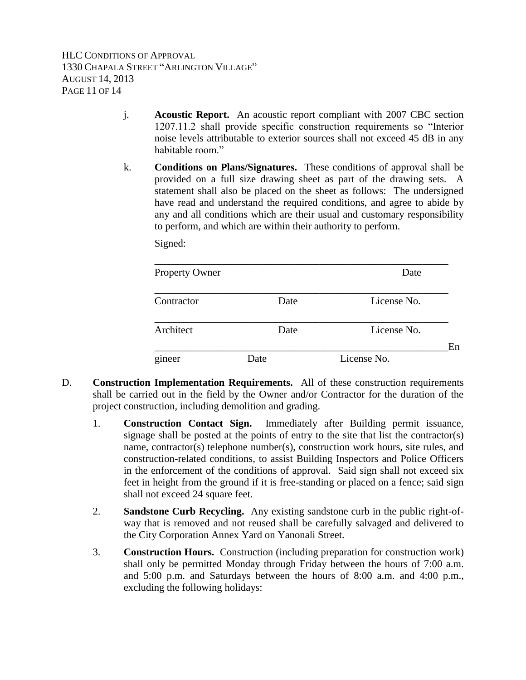HLC CONDITIONS OF APPROVAL 1330 CHAPALA STREET "ARLINGTON VILLAGE" AUGUST 14, 2013 PAGE 11 OF 14

- j. **Acoustic Report.** An acoustic report compliant with 2007 CBC section 1207.11.2 shall provide specific construction requirements so "Interior noise levels attributable to exterior sources shall not exceed 45 dB in any habitable room"
- k. **Conditions on Plans/Signatures.** These conditions of approval shall be provided on a full size drawing sheet as part of the drawing sets. A statement shall also be placed on the sheet as follows: The undersigned have read and understand the required conditions, and agree to abide by any and all conditions which are their usual and customary responsibility to perform, and which are within their authority to perform.

Signed:

| <b>Property Owner</b> |      |      |             | Date        |    |
|-----------------------|------|------|-------------|-------------|----|
| Contractor            |      | Date |             | License No. |    |
| Architect             |      | Date |             | License No. |    |
| gineer                | Date |      | License No. |             | En |

- D. **Construction Implementation Requirements.** All of these construction requirements shall be carried out in the field by the Owner and/or Contractor for the duration of the project construction, including demolition and grading.
	- 1. **Construction Contact Sign.** Immediately after Building permit issuance, signage shall be posted at the points of entry to the site that list the contractor(s) name, contractor(s) telephone number(s), construction work hours, site rules, and construction-related conditions, to assist Building Inspectors and Police Officers in the enforcement of the conditions of approval. Said sign shall not exceed six feet in height from the ground if it is free-standing or placed on a fence; said sign shall not exceed 24 square feet.
	- 2. **Sandstone Curb Recycling.** Any existing sandstone curb in the public right-ofway that is removed and not reused shall be carefully salvaged and delivered to the City Corporation Annex Yard on Yanonali Street.
	- 3. **Construction Hours.** Construction (including preparation for construction work) shall only be permitted Monday through Friday between the hours of 7:00 a.m. and 5:00 p.m. and Saturdays between the hours of 8:00 a.m. and 4:00 p.m., excluding the following holidays: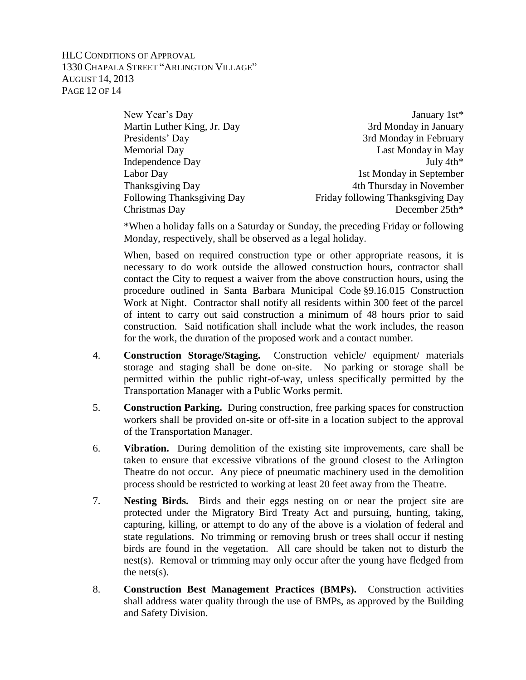### HLC CONDITIONS OF APPROVAL 1330 CHAPALA STREET "ARLINGTON VILLAGE" AUGUST 14, 2013 PAGE 12 OF 14

| New Year's Day              | January 1st*                      |  |
|-----------------------------|-----------------------------------|--|
| Martin Luther King, Jr. Day | 3rd Monday in January             |  |
| Presidents' Day             | 3rd Monday in February            |  |
| <b>Memorial Day</b>         | Last Monday in May                |  |
| <b>Independence Day</b>     | July $4th*$                       |  |
| Labor Day                   | 1st Monday in September           |  |
| Thanksgiving Day            | 4th Thursday in November          |  |
| Following Thanksgiving Day  | Friday following Thanksgiving Day |  |
| Christmas Day               | December 25th*                    |  |
|                             |                                   |  |

\*When a holiday falls on a Saturday or Sunday, the preceding Friday or following Monday, respectively, shall be observed as a legal holiday.

When, based on required construction type or other appropriate reasons, it is necessary to do work outside the allowed construction hours, contractor shall contact the City to request a waiver from the above construction hours, using the procedure outlined in Santa Barbara Municipal Code §9.16.015 Construction Work at Night. Contractor shall notify all residents within 300 feet of the parcel of intent to carry out said construction a minimum of 48 hours prior to said construction. Said notification shall include what the work includes, the reason for the work, the duration of the proposed work and a contact number.

- 4. **Construction Storage/Staging.** Construction vehicle/ equipment/ materials storage and staging shall be done on-site. No parking or storage shall be permitted within the public right-of-way, unless specifically permitted by the Transportation Manager with a Public Works permit.
- 5. **Construction Parking.** During construction, free parking spaces for construction workers shall be provided on-site or off-site in a location subject to the approval of the Transportation Manager.
- 6. **Vibration.** During demolition of the existing site improvements, care shall be taken to ensure that excessive vibrations of the ground closest to the Arlington Theatre do not occur. Any piece of pneumatic machinery used in the demolition process should be restricted to working at least 20 feet away from the Theatre.
- 7. **Nesting Birds.** Birds and their eggs nesting on or near the project site are protected under the Migratory Bird Treaty Act and pursuing, hunting, taking, capturing, killing, or attempt to do any of the above is a violation of federal and state regulations. No trimming or removing brush or trees shall occur if nesting birds are found in the vegetation. All care should be taken not to disturb the nest(s). Removal or trimming may only occur after the young have fledged from the nets(s).
- 8. **Construction Best Management Practices (BMPs).** Construction activities shall address water quality through the use of BMPs, as approved by the Building and Safety Division.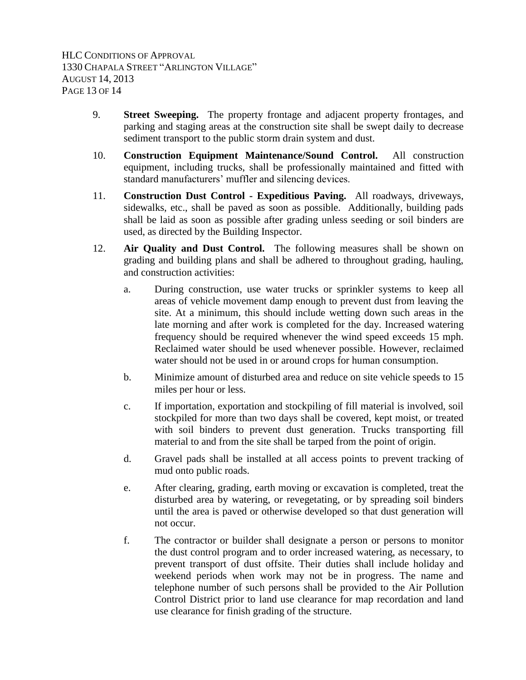HLC CONDITIONS OF APPROVAL 1330 CHAPALA STREET "ARLINGTON VILLAGE" AUGUST 14, 2013 PAGE 13 OF 14

- 9. **Street Sweeping.** The property frontage and adjacent property frontages, and parking and staging areas at the construction site shall be swept daily to decrease sediment transport to the public storm drain system and dust.
- 10. **Construction Equipment Maintenance/Sound Control.** All construction equipment, including trucks, shall be professionally maintained and fitted with standard manufacturers' muffler and silencing devices.
- 11. **Construction Dust Control - Expeditious Paving.** All roadways, driveways, sidewalks, etc., shall be paved as soon as possible. Additionally, building pads shall be laid as soon as possible after grading unless seeding or soil binders are used, as directed by the Building Inspector.
- 12. **Air Quality and Dust Control.** The following measures shall be shown on grading and building plans and shall be adhered to throughout grading, hauling, and construction activities:
	- a. During construction, use water trucks or sprinkler systems to keep all areas of vehicle movement damp enough to prevent dust from leaving the site. At a minimum, this should include wetting down such areas in the late morning and after work is completed for the day. Increased watering frequency should be required whenever the wind speed exceeds 15 mph. Reclaimed water should be used whenever possible. However, reclaimed water should not be used in or around crops for human consumption.
	- b. Minimize amount of disturbed area and reduce on site vehicle speeds to 15 miles per hour or less.
	- c. If importation, exportation and stockpiling of fill material is involved, soil stockpiled for more than two days shall be covered, kept moist, or treated with soil binders to prevent dust generation. Trucks transporting fill material to and from the site shall be tarped from the point of origin.
	- d. Gravel pads shall be installed at all access points to prevent tracking of mud onto public roads.
	- e. After clearing, grading, earth moving or excavation is completed, treat the disturbed area by watering, or revegetating, or by spreading soil binders until the area is paved or otherwise developed so that dust generation will not occur.
	- f. The contractor or builder shall designate a person or persons to monitor the dust control program and to order increased watering, as necessary, to prevent transport of dust offsite. Their duties shall include holiday and weekend periods when work may not be in progress. The name and telephone number of such persons shall be provided to the Air Pollution Control District prior to land use clearance for map recordation and land use clearance for finish grading of the structure.